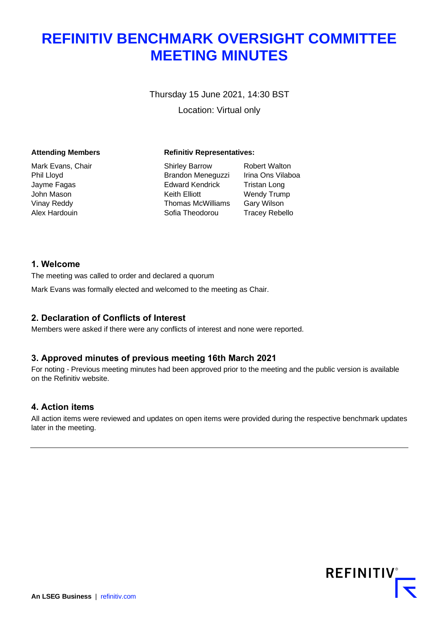# **REFINITIV BENCHMARK OVERSIGHT COMMITTEE MEETING MINUTES**

Thursday 15 June 2021, 14:30 BST

Location: Virtual only

#### **Attending Members Refinitiv Representatives:**

Mark Evans, Chair **Shirley Barrow** Robert Walton Phil Lloyd Brandon Meneguzzi Irina Ons Vilaboa Jayme Fagas **Edward Kendrick** Tristan Long John Mason **Mason Keith Elliott** Wendy Trump Vinay Reddy Thomas McWilliams Gary Wilson Alex Hardouin **Sofia Theodorou** Tracey Rebello

# **1. Welcome**

The meeting was called to order and declared a quorum

Mark Evans was formally elected and welcomed to the meeting as Chair.

# **2. Declaration of Conflicts of Interest**

Members were asked if there were any conflicts of interest and none were reported.

# **3. Approved minutes of previous meeting 16th March 2021**

For noting - Previous meeting minutes had been approved prior to the meeting and the public version is available on the Refinitiv website.

### **4. Action items**

All action items were reviewed and updates on open items were provided during the respective benchmark updates later in the meeting.

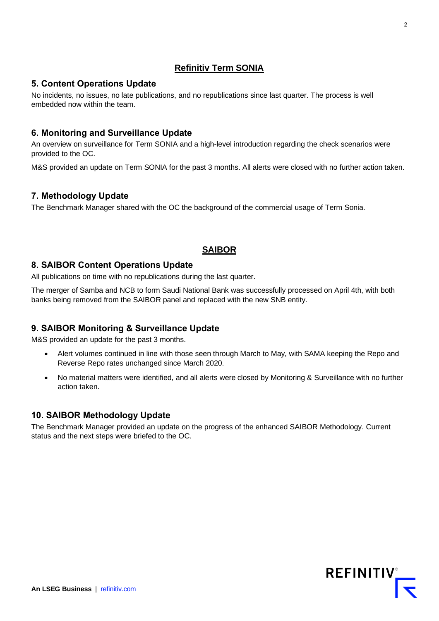# **Refinitiv Term SONIA**

# **5. Content Operations Update**

No incidents, no issues, no late publications, and no republications since last quarter. The process is well embedded now within the team.

# **6. Monitoring and Surveillance Update**

An overview on surveillance for Term SONIA and a high-level introduction regarding the check scenarios were provided to the OC.

M&S provided an update on Term SONIA for the past 3 months. All alerts were closed with no further action taken.

# **7. Methodology Update**

The Benchmark Manager shared with the OC the background of the commercial usage of Term Sonia.

# **SAIBOR**

# **8. SAIBOR Content Operations Update**

All publications on time with no republications during the last quarter.

The merger of Samba and NCB to form Saudi National Bank was successfully processed on April 4th, with both banks being removed from the SAIBOR panel and replaced with the new SNB entity.

# **9. SAIBOR Monitoring & Surveillance Update**

M&S provided an update for the past 3 months.

- Alert volumes continued in line with those seen through March to May, with SAMA keeping the Repo and Reverse Repo rates unchanged since March 2020.
- No material matters were identified, and all alerts were closed by Monitoring & Surveillance with no further action taken.

# **10. SAIBOR Methodology Update**

The Benchmark Manager provided an update on the progress of the enhanced SAIBOR Methodology. Current status and the next steps were briefed to the OC.